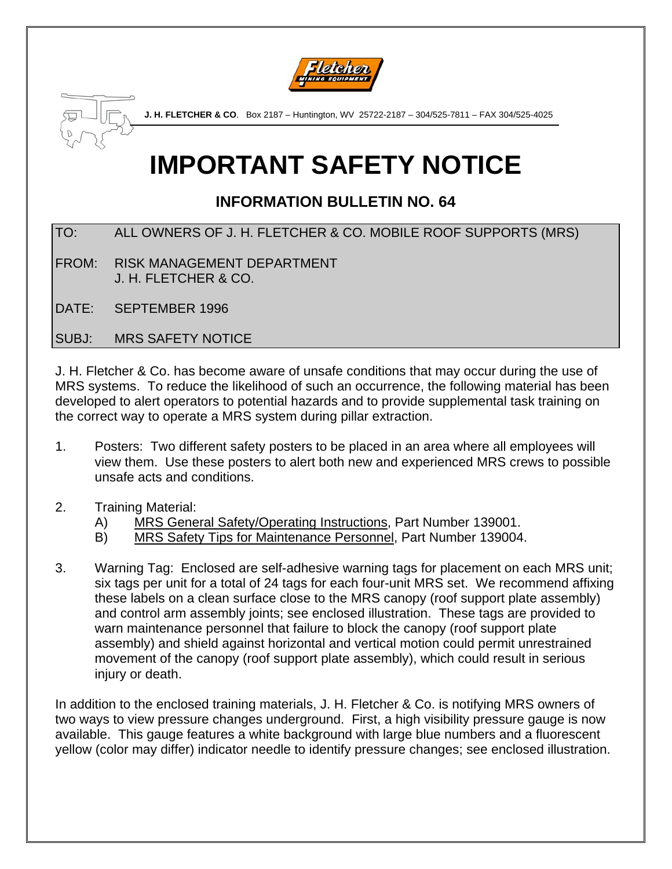



**J. H. FLETCHER & CO**. Box 2187 – Huntington, WV 25722-2187 – 304/525-7811 – FAX 304/525-4025

# **IMPORTANT SAFETY NOTICE**

# **INFORMATION BULLETIN NO. 64**

TO: ALL OWNERS OF J. H. FLETCHER & CO. MOBILE ROOF SUPPORTS (MRS)

FROM: RISK MANAGEMENT DEPARTMENT J. H. FLETCHER & CO.

DATE: SEPTEMBER 1996

SUBJ: MRS SAFETY NOTICE

J. H. Fletcher & Co. has become aware of unsafe conditions that may occur during the use of MRS systems. To reduce the likelihood of such an occurrence, the following material has been developed to alert operators to potential hazards and to provide supplemental task training on the correct way to operate a MRS system during pillar extraction.

- 1. Posters: Two different safety posters to be placed in an area where all employees will view them. Use these posters to alert both new and experienced MRS crews to possible unsafe acts and conditions.
- 2. Training Material:
	- A) MRS General Safety/Operating Instructions, Part Number 139001.
	- B) MRS Safety Tips for Maintenance Personnel, Part Number 139004.
- 3. Warning Tag: Enclosed are self-adhesive warning tags for placement on each MRS unit; six tags per unit for a total of 24 tags for each four-unit MRS set. We recommend affixing these labels on a clean surface close to the MRS canopy (roof support plate assembly) and control arm assembly joints; see enclosed illustration. These tags are provided to warn maintenance personnel that failure to block the canopy (roof support plate assembly) and shield against horizontal and vertical motion could permit unrestrained movement of the canopy (roof support plate assembly), which could result in serious injury or death.

In addition to the enclosed training materials, J. H. Fletcher & Co. is notifying MRS owners of two ways to view pressure changes underground. First, a high visibility pressure gauge is now available. This gauge features a white background with large blue numbers and a fluorescent yellow (color may differ) indicator needle to identify pressure changes; see enclosed illustration.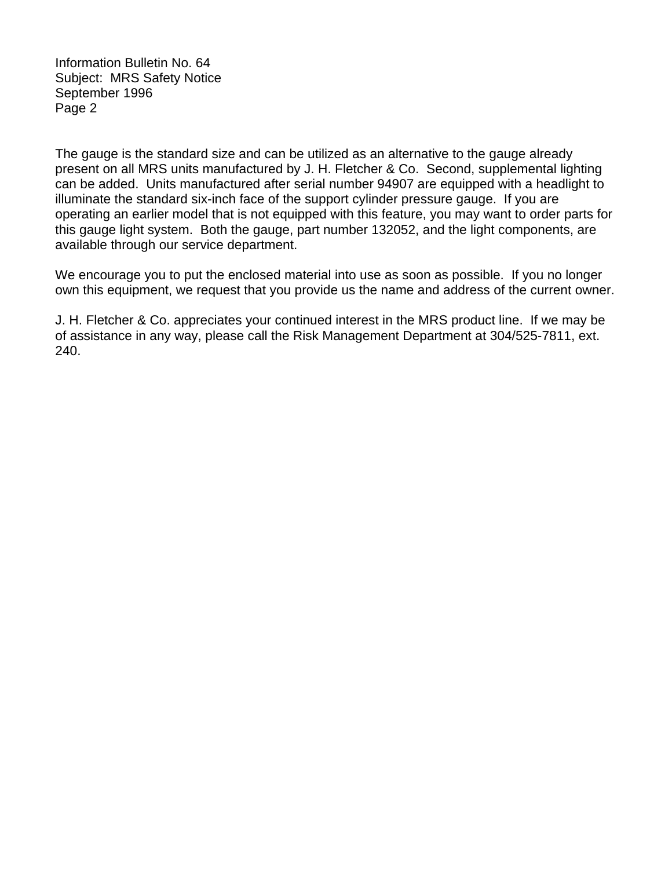Information Bulletin No. 64 Subject: MRS Safety Notice September 1996 Page 2

The gauge is the standard size and can be utilized as an alternative to the gauge already present on all MRS units manufactured by J. H. Fletcher & Co. Second, supplemental lighting can be added. Units manufactured after serial number 94907 are equipped with a headlight to illuminate the standard six-inch face of the support cylinder pressure gauge. If you are operating an earlier model that is not equipped with this feature, you may want to order parts for this gauge light system. Both the gauge, part number 132052, and the light components, are available through our service department.

We encourage you to put the enclosed material into use as soon as possible. If you no longer own this equipment, we request that you provide us the name and address of the current owner.

J. H. Fletcher & Co. appreciates your continued interest in the MRS product line. If we may be of assistance in any way, please call the Risk Management Department at 304/525-7811, ext. 240.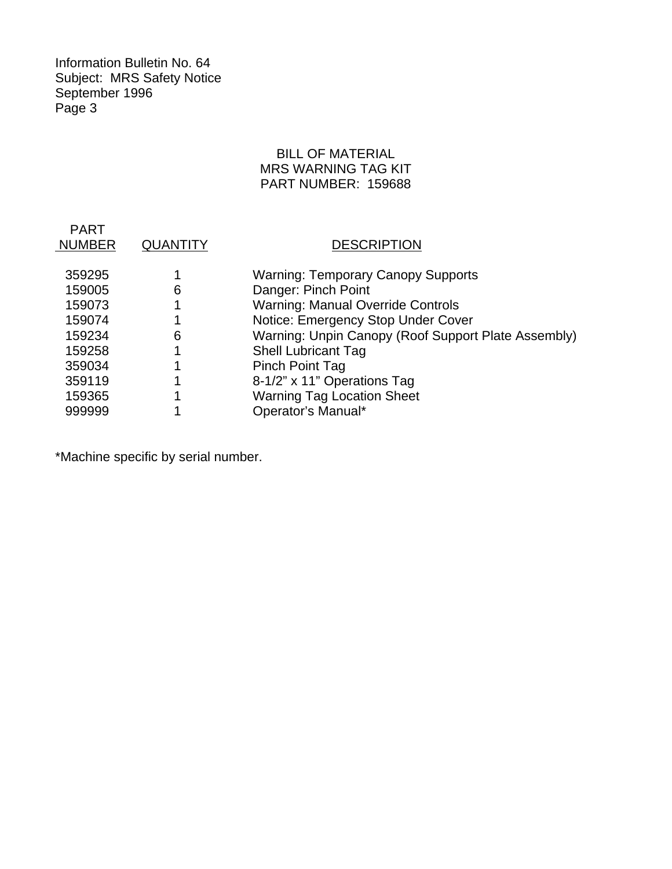Information Bulletin No. 64 Subject: MRS Safety Notice September 1996 Page 3

# BILL OF MATERIAL MRS WARNING TAG KIT PART NUMBER: 159688

| <b>PART</b><br><b>NUMBER</b> | <b>QUANTITY</b> | <b>DESCRIPTION</b>                                  |
|------------------------------|-----------------|-----------------------------------------------------|
| 359295                       |                 | <b>Warning: Temporary Canopy Supports</b>           |
|                              |                 |                                                     |
| 159005                       | 6               | Danger: Pinch Point                                 |
| 159073                       |                 | <b>Warning: Manual Override Controls</b>            |
| 159074                       |                 | Notice: Emergency Stop Under Cover                  |
| 159234                       | 6               | Warning: Unpin Canopy (Roof Support Plate Assembly) |
| 159258                       |                 | <b>Shell Lubricant Tag</b>                          |
| 359034                       |                 | <b>Pinch Point Tag</b>                              |
| 359119                       |                 | 8-1/2" x 11" Operations Tag                         |
| 159365                       |                 | <b>Warning Tag Location Sheet</b>                   |
| 999999                       |                 | Operator's Manual*                                  |

\*Machine specific by serial number.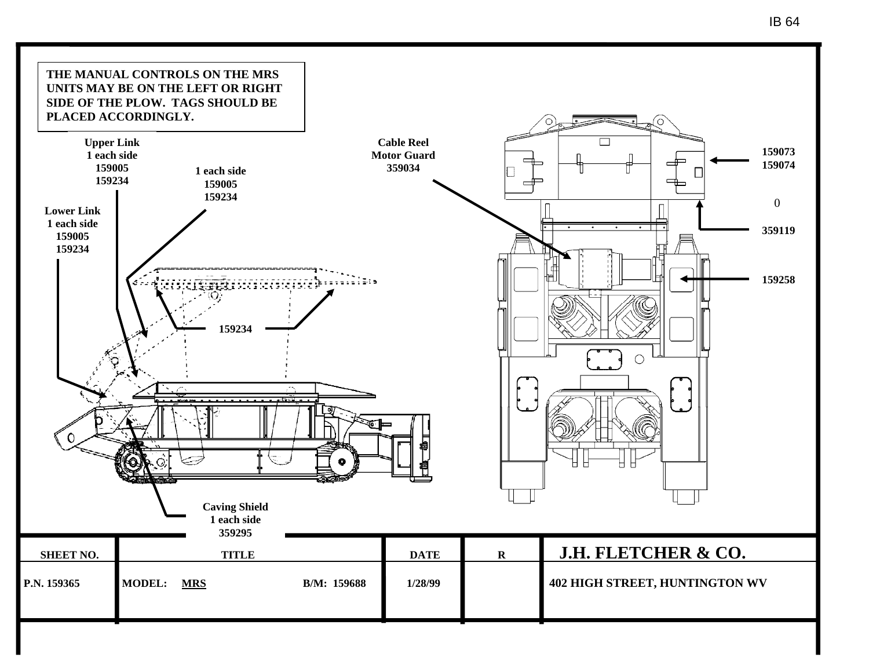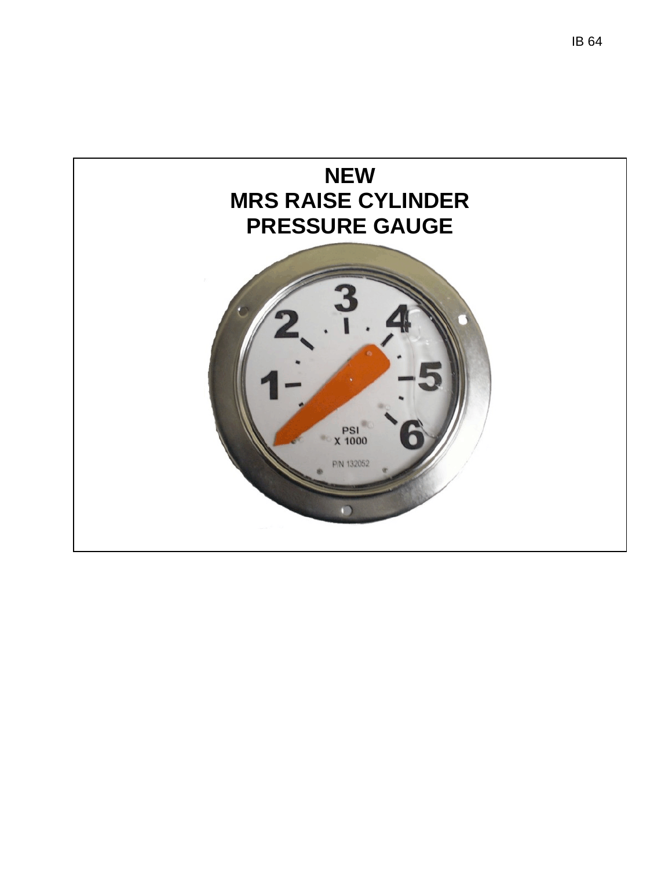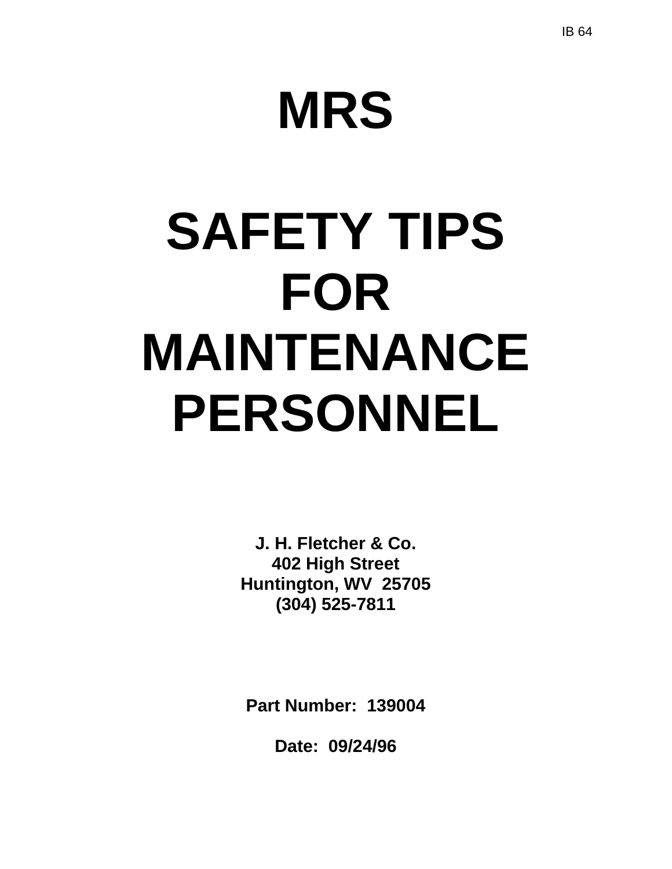# **MRS**

# **SAFETY TIPS FOR MAINTENANCE PERSONNEL**

**J. H. Fletcher & Co. 402 High Street Huntington, WV 25705 (304) 525-7811** 

**Part Number: 139004** 

**Date: 09/24/96**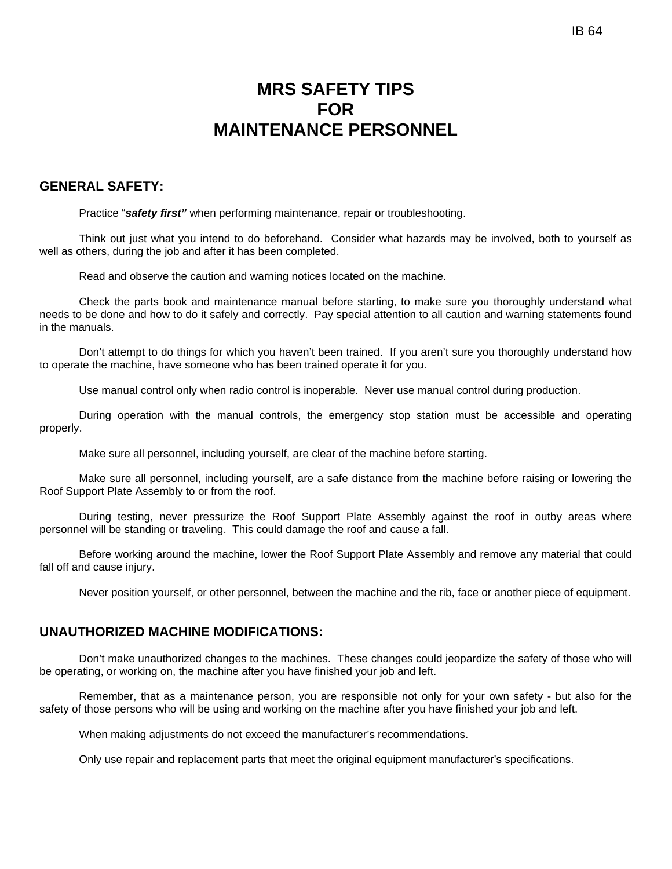# **MRS SAFETY TIPS FOR MAINTENANCE PERSONNEL**

## **GENERAL SAFETY:**

Practice "*safety first"* when performing maintenance, repair or troubleshooting.

Think out just what you intend to do beforehand. Consider what hazards may be involved, both to yourself as well as others, during the job and after it has been completed.

Read and observe the caution and warning notices located on the machine.

Check the parts book and maintenance manual before starting, to make sure you thoroughly understand what needs to be done and how to do it safely and correctly. Pay special attention to all caution and warning statements found in the manuals.

Don't attempt to do things for which you haven't been trained. If you aren't sure you thoroughly understand how to operate the machine, have someone who has been trained operate it for you.

Use manual control only when radio control is inoperable. Never use manual control during production.

During operation with the manual controls, the emergency stop station must be accessible and operating properly.

Make sure all personnel, including yourself, are clear of the machine before starting.

Make sure all personnel, including yourself, are a safe distance from the machine before raising or lowering the Roof Support Plate Assembly to or from the roof.

During testing, never pressurize the Roof Support Plate Assembly against the roof in outby areas where personnel will be standing or traveling. This could damage the roof and cause a fall.

Before working around the machine, lower the Roof Support Plate Assembly and remove any material that could fall off and cause injury.

Never position yourself, or other personnel, between the machine and the rib, face or another piece of equipment.

### **UNAUTHORIZED MACHINE MODIFICATIONS:**

Don't make unauthorized changes to the machines. These changes could jeopardize the safety of those who will be operating, or working on, the machine after you have finished your job and left.

Remember, that as a maintenance person, you are responsible not only for your own safety - but also for the safety of those persons who will be using and working on the machine after you have finished your job and left.

When making adjustments do not exceed the manufacturer's recommendations.

Only use repair and replacement parts that meet the original equipment manufacturer's specifications.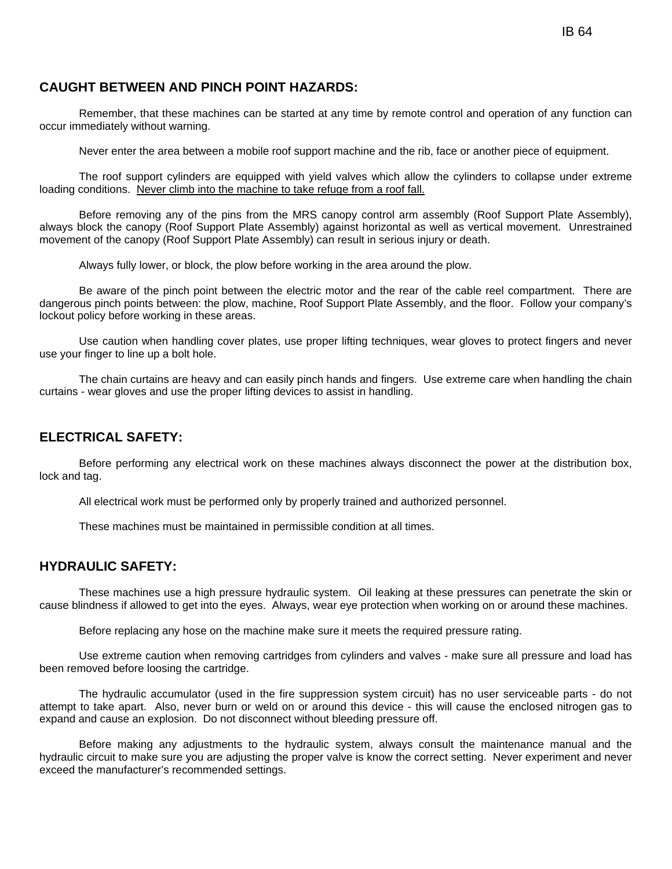# **CAUGHT BETWEEN AND PINCH POINT HAZARDS:**

Remember, that these machines can be started at any time by remote control and operation of any function can occur immediately without warning.

Never enter the area between a mobile roof support machine and the rib, face or another piece of equipment.

The roof support cylinders are equipped with yield valves which allow the cylinders to collapse under extreme loading conditions. Never climb into the machine to take refuge from a roof fall.

Before removing any of the pins from the MRS canopy control arm assembly (Roof Support Plate Assembly), always block the canopy (Roof Support Plate Assembly) against horizontal as well as vertical movement. Unrestrained movement of the canopy (Roof Support Plate Assembly) can result in serious injury or death.

Always fully lower, or block, the plow before working in the area around the plow.

Be aware of the pinch point between the electric motor and the rear of the cable reel compartment. There are dangerous pinch points between: the plow, machine, Roof Support Plate Assembly, and the floor. Follow your company's lockout policy before working in these areas.

Use caution when handling cover plates, use proper lifting techniques, wear gloves to protect fingers and never use your finger to line up a bolt hole.

The chain curtains are heavy and can easily pinch hands and fingers. Use extreme care when handling the chain curtains - wear gloves and use the proper lifting devices to assist in handling.

## **ELECTRICAL SAFETY:**

Before performing any electrical work on these machines always disconnect the power at the distribution box, lock and tag.

All electrical work must be performed only by properly trained and authorized personnel.

These machines must be maintained in permissible condition at all times.

## **HYDRAULIC SAFETY:**

These machines use a high pressure hydraulic system. Oil leaking at these pressures can penetrate the skin or cause blindness if allowed to get into the eyes. Always, wear eye protection when working on or around these machines.

Before replacing any hose on the machine make sure it meets the required pressure rating.

Use extreme caution when removing cartridges from cylinders and valves - make sure all pressure and load has been removed before loosing the cartridge.

The hydraulic accumulator (used in the fire suppression system circuit) has no user serviceable parts - do not attempt to take apart. Also, never burn or weld on or around this device - this will cause the enclosed nitrogen gas to expand and cause an explosion. Do not disconnect without bleeding pressure off.

Before making any adjustments to the hydraulic system, always consult the maintenance manual and the hydraulic circuit to make sure you are adjusting the proper valve is know the correct setting. Never experiment and never exceed the manufacturer's recommended settings.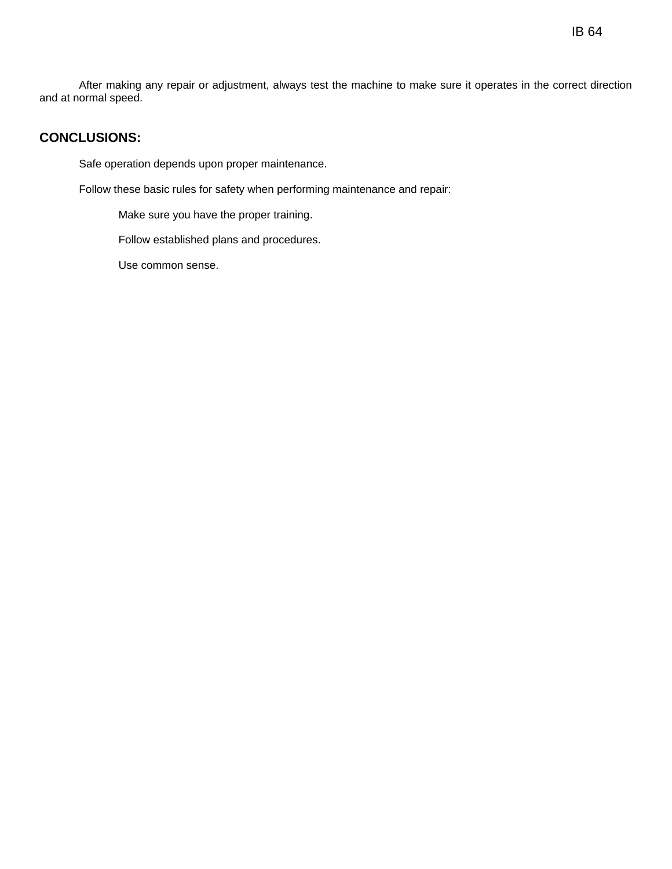After making any repair or adjustment, always test the machine to make sure it operates in the correct direction and at normal speed.

# **CONCLUSIONS:**

Safe operation depends upon proper maintenance.

Follow these basic rules for safety when performing maintenance and repair:

Make sure you have the proper training.

Follow established plans and procedures.

Use common sense.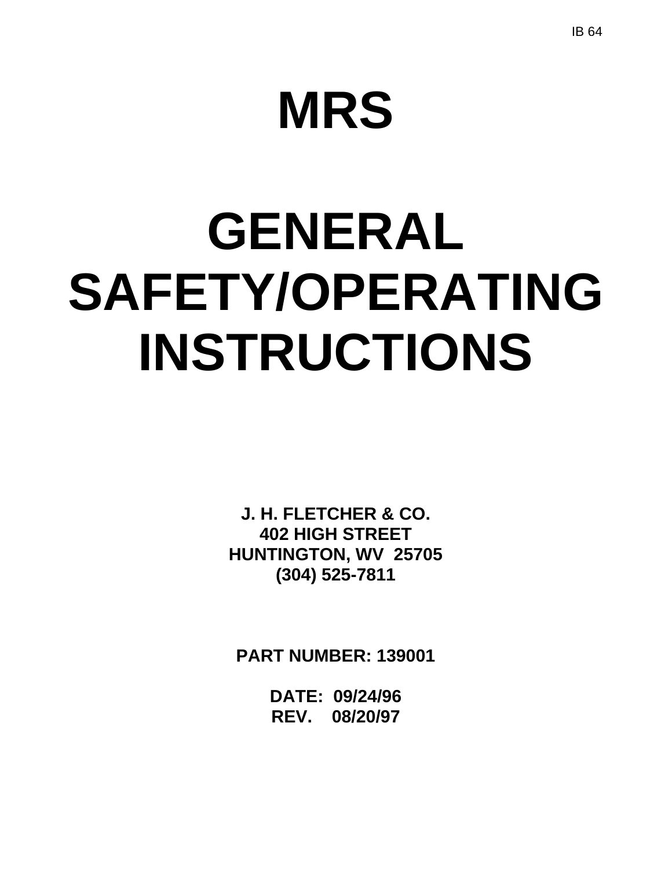# **MRS**

# **GENERAL SAFETY/OPERATING INSTRUCTIONS**

**J. H. FLETCHER & CO. 402 HIGH STREET HUNTINGTON, WV 25705 (304) 525-7811** 

**PART NUMBER: 139001** 

**DATE: 09/24/96 REV. 08/20/97**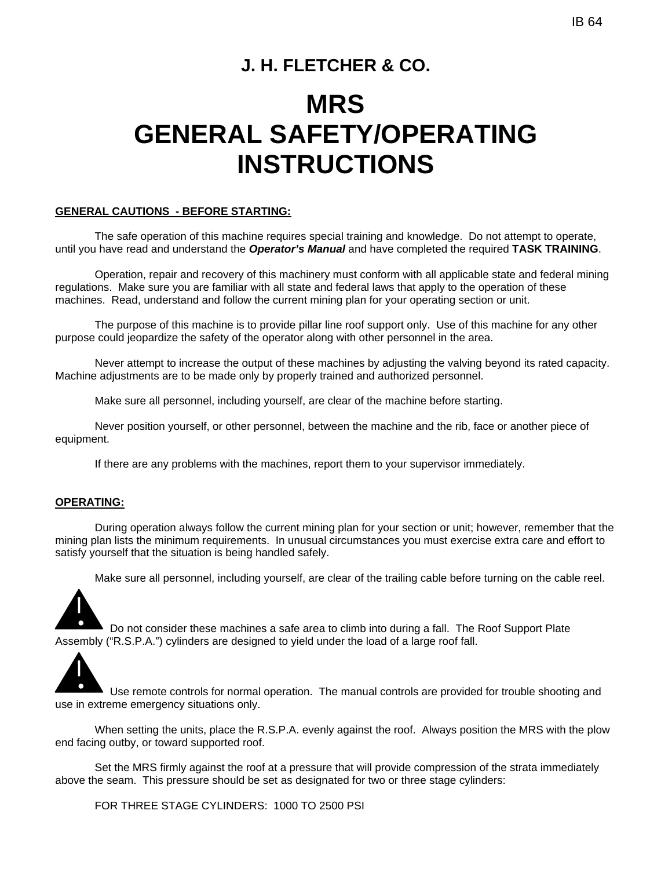# **J. H. FLETCHER & CO.**

# **MRS GENERAL SAFETY/OPERATING INSTRUCTIONS**

#### **GENERAL CAUTIONS - BEFORE STARTING:**

The safe operation of this machine requires special training and knowledge. Do not attempt to operate, until you have read and understand the *Operator's Manual* and have completed the required **TASK TRAINING**.

Operation, repair and recovery of this machinery must conform with all applicable state and federal mining regulations. Make sure you are familiar with all state and federal laws that apply to the operation of these machines. Read, understand and follow the current mining plan for your operating section or unit.

The purpose of this machine is to provide pillar line roof support only. Use of this machine for any other purpose could jeopardize the safety of the operator along with other personnel in the area.

Never attempt to increase the output of these machines by adjusting the valving beyond its rated capacity. Machine adjustments are to be made only by properly trained and authorized personnel.

Make sure all personnel, including yourself, are clear of the machine before starting.

Never position yourself, or other personnel, between the machine and the rib, face or another piece of equipment.

If there are any problems with the machines, report them to your supervisor immediately.

#### **OPERATING:**

During operation always follow the current mining plan for your section or unit; however, remember that the mining plan lists the minimum requirements. In unusual circumstances you must exercise extra care and effort to satisfy yourself that the situation is being handled safely.

Make sure all personnel, including yourself, are clear of the trailing cable before turning on the cable reel.



 Do not consider these machines a safe area to climb into during a fall. The Roof Support Plate Assembly ("R.S.P.A.") cylinders are designed to yield under the load of a large roof fall.

Use remote controls for normal operation. The manual controls are provided for trouble shooting and use in extreme emergency situations only.

When setting the units, place the R.S.P.A. evenly against the roof. Always position the MRS with the plow end facing outby, or toward supported roof.

Set the MRS firmly against the roof at a pressure that will provide compression of the strata immediately above the seam. This pressure should be set as designated for two or three stage cylinders:

FOR THREE STAGE CYLINDERS: 1000 TO 2500 PSI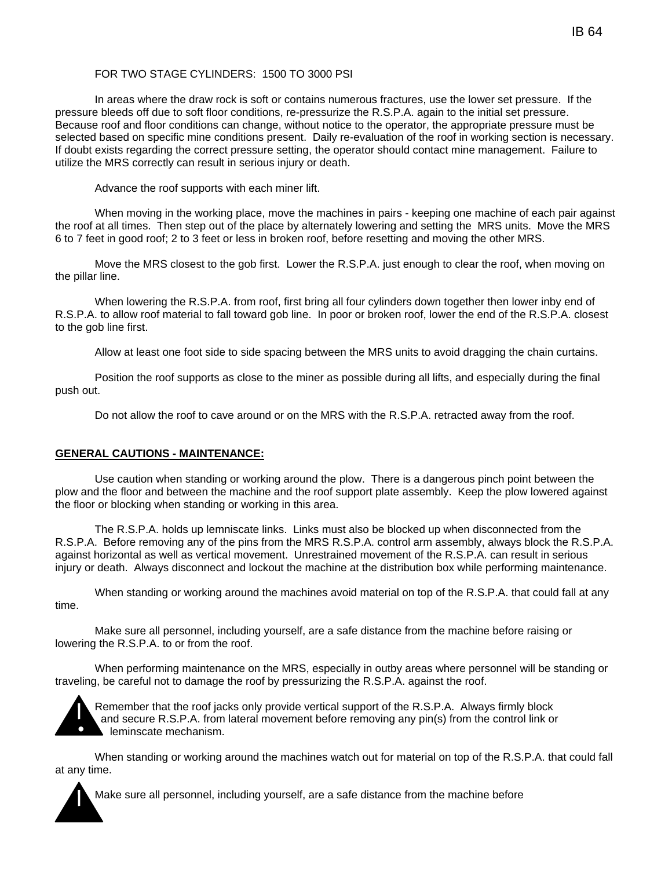### FOR TWO STAGE CYLINDERS: 1500 TO 3000 PSI

In areas where the draw rock is soft or contains numerous fractures, use the lower set pressure. If the pressure bleeds off due to soft floor conditions, re-pressurize the R.S.P.A. again to the initial set pressure. Because roof and floor conditions can change, without notice to the operator, the appropriate pressure must be selected based on specific mine conditions present. Daily re-evaluation of the roof in working section is necessary. If doubt exists regarding the correct pressure setting, the operator should contact mine management. Failure to utilize the MRS correctly can result in serious injury or death.

Advance the roof supports with each miner lift.

When moving in the working place, move the machines in pairs - keeping one machine of each pair against the roof at all times. Then step out of the place by alternately lowering and setting the MRS units. Move the MRS 6 to 7 feet in good roof; 2 to 3 feet or less in broken roof, before resetting and moving the other MRS.

Move the MRS closest to the gob first. Lower the R.S.P.A. just enough to clear the roof, when moving on the pillar line.

When lowering the R.S.P.A. from roof, first bring all four cylinders down together then lower inby end of R.S.P.A. to allow roof material to fall toward gob line. In poor or broken roof, lower the end of the R.S.P.A. closest to the gob line first.

Allow at least one foot side to side spacing between the MRS units to avoid dragging the chain curtains.

Position the roof supports as close to the miner as possible during all lifts, and especially during the final push out.

Do not allow the roof to cave around or on the MRS with the R.S.P.A. retracted away from the roof.

#### **GENERAL CAUTIONS - MAINTENANCE:**

Use caution when standing or working around the plow. There is a dangerous pinch point between the plow and the floor and between the machine and the roof support plate assembly. Keep the plow lowered against the floor or blocking when standing or working in this area.

The R.S.P.A. holds up lemniscate links. Links must also be blocked up when disconnected from the R.S.P.A. Before removing any of the pins from the MRS R.S.P.A. control arm assembly, always block the R.S.P.A. against horizontal as well as vertical movement. Unrestrained movement of the R.S.P.A. can result in serious injury or death. Always disconnect and lockout the machine at the distribution box while performing maintenance.

When standing or working around the machines avoid material on top of the R.S.P.A. that could fall at any time.

Make sure all personnel, including yourself, are a safe distance from the machine before raising or lowering the R.S.P.A. to or from the roof.

When performing maintenance on the MRS, especially in outby areas where personnel will be standing or traveling, be careful not to damage the roof by pressurizing the R.S.P.A. against the roof.



Remember that the roof jacks only provide vertical support of the R.S.P.A. Always firmly block and secure R.S.P.A. from lateral movement before removing any pin(s) from the control link or leminscate mechanism.

When standing or working around the machines watch out for material on top of the R.S.P.A. that could fall at any time.

Make sure all personnel, including yourself, are a safe distance from the machine before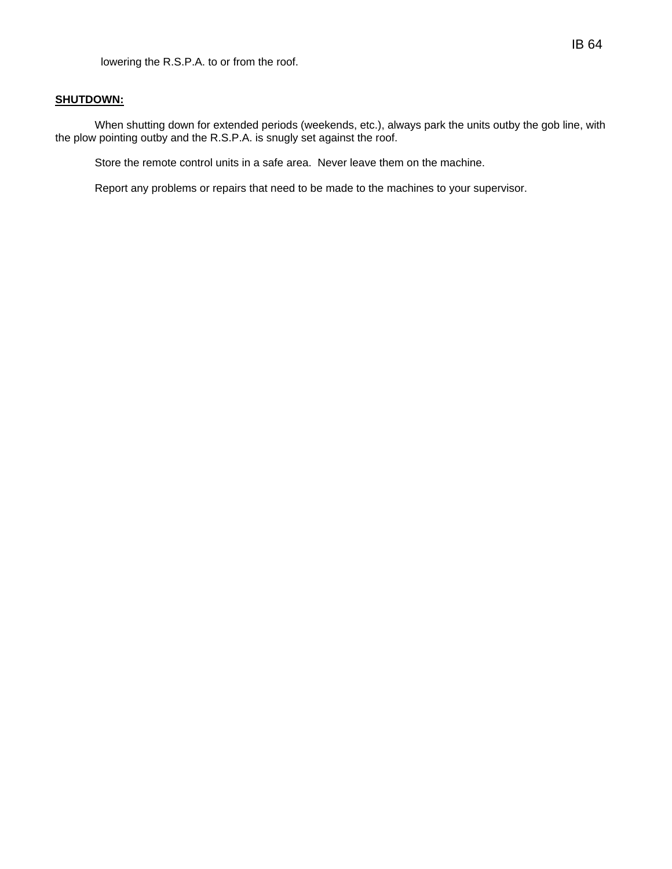### **SHUTDOWN:**

When shutting down for extended periods (weekends, etc.), always park the units outby the gob line, with the plow pointing outby and the R.S.P.A. is snugly set against the roof.

Store the remote control units in a safe area. Never leave them on the machine.

Report any problems or repairs that need to be made to the machines to your supervisor.